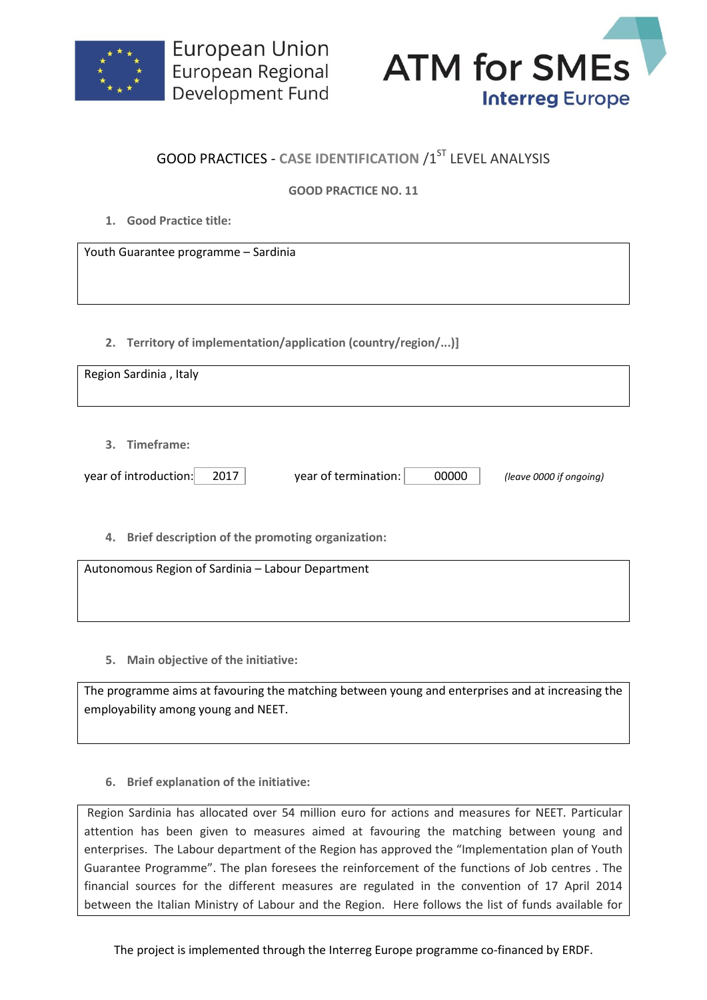



## **GOOD PRACTICES - CASE IDENTIFICATION /1ST LEVEL ANALYSIS**

## **GOOD PRACTICE NO. 11**

**1. Good Practice title:**

Youth Guarantee programme – Sardinia

**2. Territory of implementation/application (country/region/...)]**

| Region Sardinia, Italy                                 |                               |                         |
|--------------------------------------------------------|-------------------------------|-------------------------|
|                                                        |                               |                         |
|                                                        |                               |                         |
|                                                        |                               |                         |
|                                                        |                               |                         |
|                                                        |                               |                         |
|                                                        |                               |                         |
| 3. Timeframe:                                          |                               |                         |
|                                                        |                               |                         |
|                                                        |                               |                         |
| year of introduction:<br>2017                          | 00000<br>year of termination: | (leave 0000 if ongoing) |
|                                                        |                               |                         |
|                                                        |                               |                         |
|                                                        |                               |                         |
|                                                        |                               |                         |
| Brief description of the promoting organization:<br>4. |                               |                         |
|                                                        |                               |                         |

Autonomous Region of Sardinia – Labour Department

**5. Main objective of the initiative:**

The programme aims at favouring the matching between young and enterprises and at increasing the employability among young and NEET.

**6. Brief explanation of the initiative:**

Region Sardinia has allocated over 54 million euro for actions and measures for NEET. Particular attention has been given to measures aimed at favouring the matching between young and enterprises. The Labour department of the Region has approved the "Implementation plan of Youth Guarantee Programme". The plan foresees the reinforcement of the functions of Job centres . The financial sources for the different measures are regulated in the convention of 17 April 2014 between the Italian Ministry of Labour and the Region. Here follows the list of funds available for